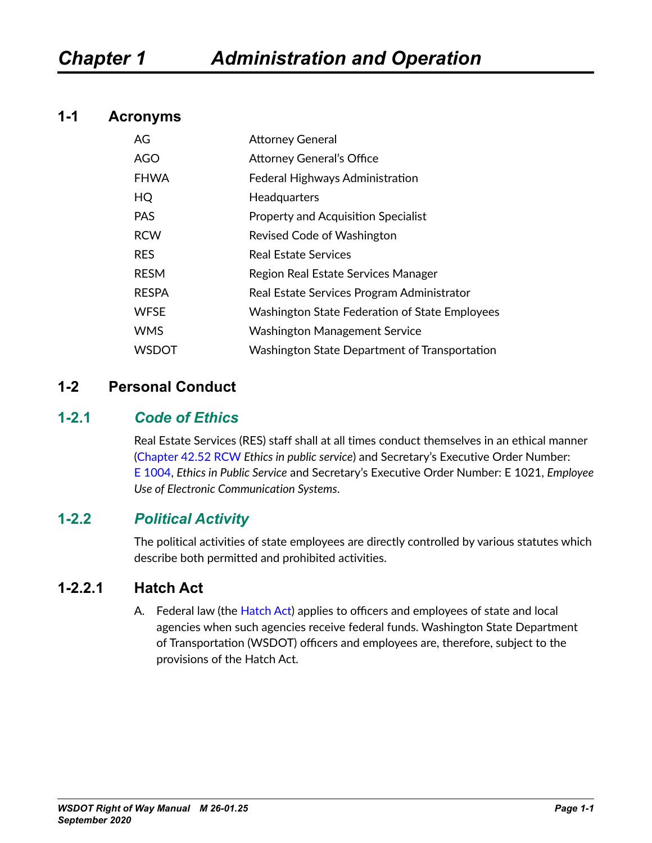#### **1-1 Acronyms**

| AG           | <b>Attorney General</b>                               |
|--------------|-------------------------------------------------------|
| <b>AGO</b>   | <b>Attorney General's Office</b>                      |
| <b>FHWA</b>  | Federal Highways Administration                       |
| HQ           | <b>Headquarters</b>                                   |
| <b>PAS</b>   | Property and Acquisition Specialist                   |
| <b>RCW</b>   | Revised Code of Washington                            |
| <b>RES</b>   | <b>Real Estate Services</b>                           |
| <b>RESM</b>  | Region Real Estate Services Manager                   |
| <b>RESPA</b> | Real Estate Services Program Administrator            |
| <b>WFSE</b>  | <b>Washington State Federation of State Employees</b> |
| <b>WMS</b>   | <b>Washington Management Service</b>                  |
| <b>WSDOT</b> | Washington State Department of Transportation         |

#### **1-2 Personal Conduct**

#### **1-2.1** *Code of Ethics*

Real Estate Services (RES) staff shall at all times conduct themselves in an ethical manner ([Chapter](http://apps.leg.wa.gov/RCW/default.aspx?cite=42.52) 42.52 RCW *Ethics in public service*) and Secretary's Executive Order Number: E [1004](http://wwwi.wsdot.wa.gov/publications/policies/fulltext/1004.pdf), *Ethics in Public Service* and Secretary's Executive Order Number: E [1021,](http://wwwi.wsdot.wa.gov/publications/policies/fulltext/1021.pdf) *Employee Use of Electronic Communication Systems*.

#### **1-2.2** *Political Activity*

The political activities of state employees are directly controlled by various statutes which describe both permitted and prohibited activities.

## **1-2.2.1 Hatch Act**

A. Federal law (the [Hatch](http://ethics.od.nih.gov/topics/Hatch%20Act%20Fed%20OSC%20Poster.pdf) Act) applies to officers and employees of state and local agencies when such agencies receive federal funds. Washington State Department of Transportation (WSDOT) officers and employees are, therefore, subject to the provisions of the Hatch Act.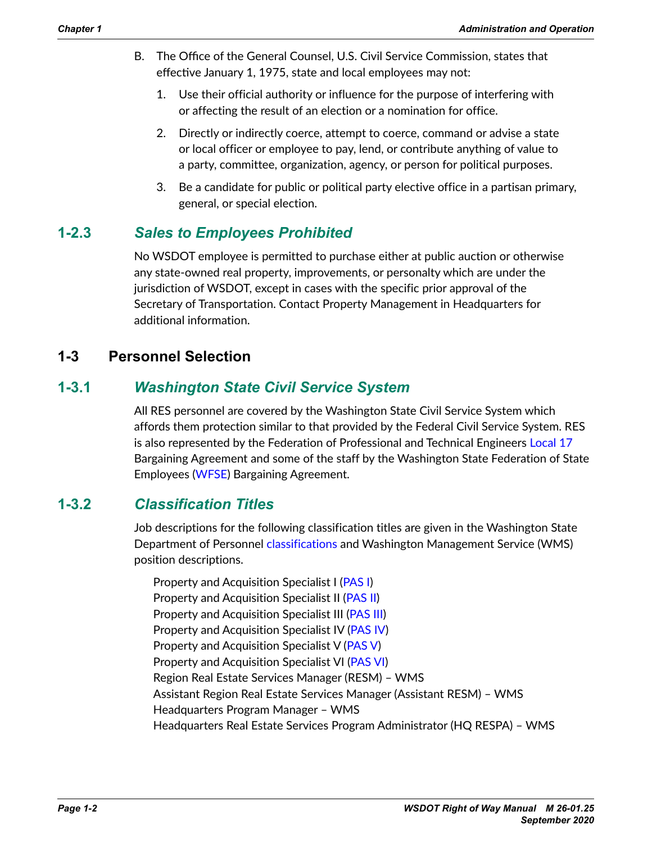- B. The Office of the General Counsel, U.S. Civil Service Commission, states that effective January 1, 1975, state and local employees may not:
	- 1. Use their official authority or influence for the purpose of interfering with or affecting the result of an election or a nomination for office.
	- 2. Directly or indirectly coerce, attempt to coerce, command or advise a state or local officer or employee to pay, lend, or contribute anything of value to a party, committee, organization, agency, or person for political purposes.
	- 3. Be a candidate for public or political party elective office in a partisan primary, general, or special election.

# **1-2.3** *Sales to Employees Prohibited*

No WSDOT employee is permitted to purchase either at public auction or otherwise any state-owned real property, improvements, or personalty which are under the jurisdiction of WSDOT, except in cases with the specific prior approval of the Secretary of Transportation. Contact Property Management in Headquarters for additional information.

# **1-3 Personnel Selection**

# **1-3.1** *Washington State Civil Service System*

All RES personnel are covered by the Washington State Civil Service System which affords them protection similar to that provided by the Federal Civil Service System. RES is also represented by the Federation of Professional and Technical Engineers [Local](http://www.ifpte17.org/) 17 Bargaining Agreement and some of the staff by the Washington State Federation of State Employees ([WFSE](http://www.wfse.org/)) Bargaining Agreement.

## **1-3.2** *Classification Titles*

Job descriptions for the following classification titles are given in the Washington State Department of Personnel [classifications](http://www.dop.wa.gov/CompClass/JobClassesSalaries/Pages/ClassifiedJobListing.aspx?FilterValue=A) and Washington Management Service (WMS) position descriptions.

Property and Acquisition Specialist I [\(PAS](http://www.dop.wa.gov/JobClasses/179I.doc) I) Property and Acquisition Specialist II [\(PAS](http://www.dop.wa.gov/JobClasses/179J.doc) II) Property and Acquisition Specialist III [\(PAS](http://www.dop.wa.gov/JobClasses/179K.doc) III) Property and Acquisition Specialist IV [\(PAS](http://www.dop.wa.gov/JobClasses/179L.doc) IV) Property and Acquisition Specialist V ([PAS](http://www.dop.wa.gov/JobClasses/179M.doc) V) Property and Acquisition Specialist VI [\(PAS](http://www.dop.wa.gov/JobClasses/179N.doc) VI) Region Real Estate Services Manager (RESM) – WMS Assistant Region Real Estate Services Manager (Assistant RESM) – WMS Headquarters Program Manager – WMS Headquarters Real Estate Services Program Administrator (HQ RESPA) – WMS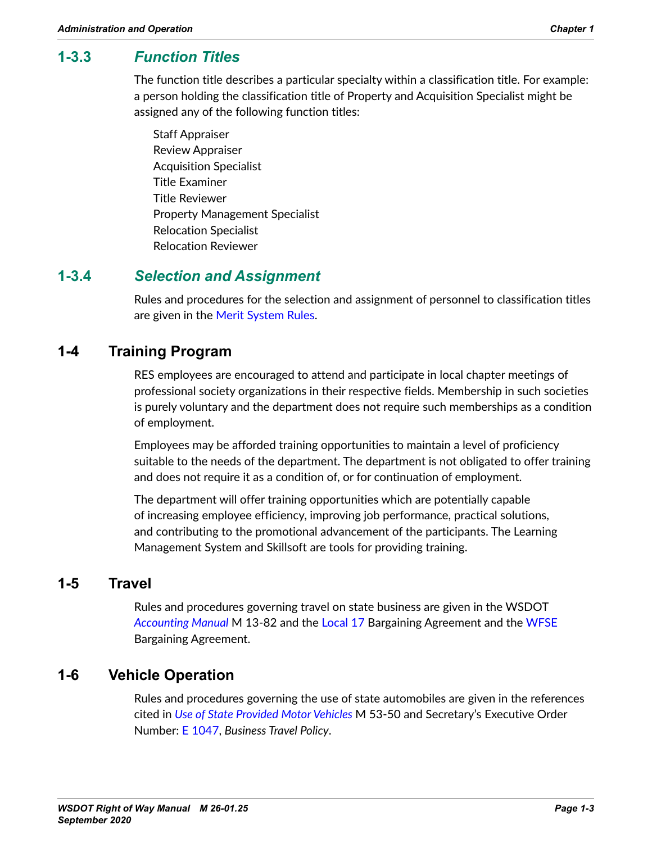# **1-3.3** *Function Titles*

The function title describes a particular specialty within a classification title. For example: a person holding the classification title of Property and Acquisition Specialist might be assigned any of the following function titles:

Staff Appraiser Review Appraiser Acquisition Specialist Title Examiner Title Reviewer Property Management Specialist Relocation Specialist Relocation Reviewer

## **1-3.4** *Selection and Assignment*

Rules and procedures for the selection and assignment of personnel to classification titles are given in the Merit [System](http://apps.leg.wa.gov/wac/default.aspx?dispo=true&cite=356) Rules.

## **1-4 Training Program**

RES employees are encouraged to attend and participate in local chapter meetings of professional society organizations in their respective fields. Membership in such societies is purely voluntary and the department does not require such memberships as a condition of employment.

Employees may be afforded training opportunities to maintain a level of proficiency suitable to the needs of the department. The department is not obligated to offer training and does not require it as a condition of, or for continuation of employment.

The department will offer training opportunities which are potentially capable of increasing employee efficiency, improving job performance, practical solutions, and contributing to the promotional advancement of the participants. The Learning Management System and Skillsoft are tools for providing training.

## **1-5 Travel**

Rules and procedures governing travel on state business are given in the WSDOT *[Accounting Manual](http://wwwi.wsdot.wa.gov/Publications/Manuals/M13-82.htm)* M 13-82 and the [Local](http://www.ifpte17.org/) 17 Bargaining Agreement and the [WFSE](http://www.wfse.org/) Bargaining Agreement.

## **1-6 Vehicle Operation**

Rules and procedures governing the use of state automobiles are given in the references cited in *[Use of State Provided Motor Vehicles](http://wwwi.wsdot.wa.gov/Publications/Manuals/M53-50.htm)* M 53-50 and Secretary's Executive Order Number: E [1047](http://wwwi.wsdot.wa.gov/publications/policies/fulltext/1047.pdf), *Business Travel Policy*.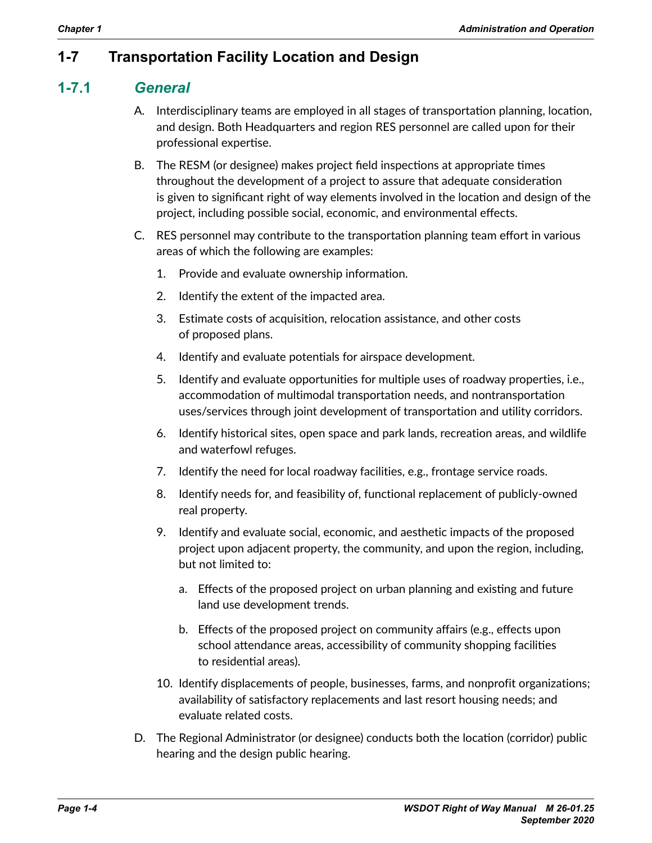# **1-7 Transportation Facility Location and Design**

## **1-7.1** *General*

- A. Interdisciplinary teams are employed in all stages of transportation planning, location, and design. Both Headquarters and region RES personnel are called upon for their professional expertise.
- B. The RESM (or designee) makes project field inspections at appropriate times throughout the development of a project to assure that adequate consideration is given to significant right of way elements involved in the location and design of the project, including possible social, economic, and environmental effects.
- C. RES personnel may contribute to the transportation planning team effort in various areas of which the following are examples:
	- 1. Provide and evaluate ownership information.
	- 2. Identify the extent of the impacted area.
	- 3. Estimate costs of acquisition, relocation assistance, and other costs of proposed plans.
	- 4. Identify and evaluate potentials for airspace development.
	- 5. Identify and evaluate opportunities for multiple uses of roadway properties, i.e., accommodation of multimodal transportation needs, and nontransportation uses/services through joint development of transportation and utility corridors.
	- 6. Identify historical sites, open space and park lands, recreation areas, and wildlife and waterfowl refuges.
	- 7. Identify the need for local roadway facilities, e.g., frontage service roads.
	- 8. Identify needs for, and feasibility of, functional replacement of publicly-owned real property.
	- 9. Identify and evaluate social, economic, and aesthetic impacts of the proposed project upon adjacent property, the community, and upon the region, including, but not limited to:
		- a. Effects of the proposed project on urban planning and existing and future land use development trends.
		- b. Effects of the proposed project on community affairs (e.g., effects upon school attendance areas, accessibility of community shopping facilities to residential areas).
	- 10. Identify displacements of people, businesses, farms, and nonprofit organizations; availability of satisfactory replacements and last resort housing needs; and evaluate related costs.
- D. The Regional Administrator (or designee) conducts both the location (corridor) public hearing and the design public hearing.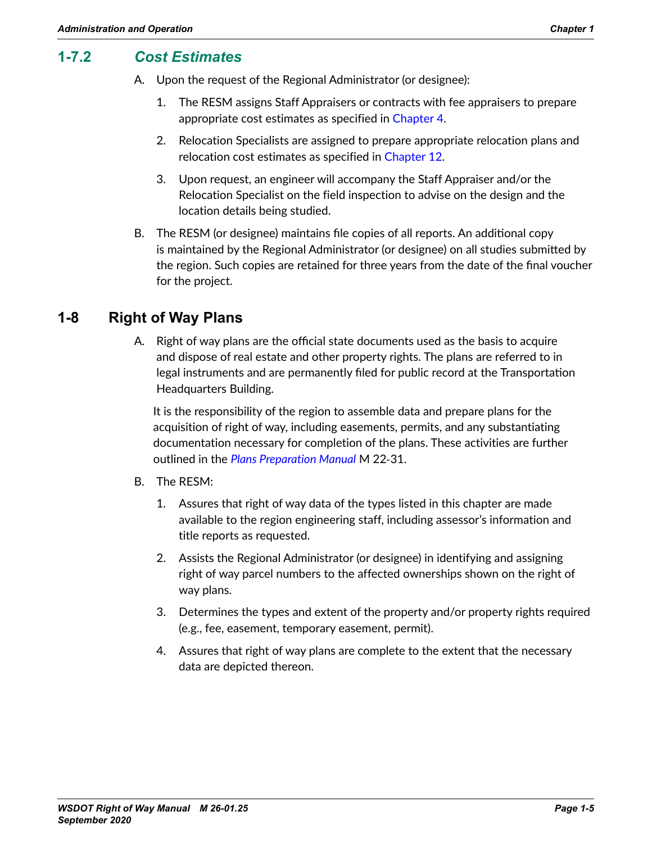## **1-7.2** *Cost Estimates*

- A. Upon the request of the Regional Administrator (or designee):
	- 1. The RESM assigns Staff Appraisers or contracts with fee appraisers to prepare appropriate cost estimates as specified in Chapter 4.
	- 2. Relocation Specialists are assigned to prepare appropriate relocation plans and relocation cost estimates as specified in Chapter 12.
	- 3. Upon request, an engineer will accompany the Staff Appraiser and/or the Relocation Specialist on the field inspection to advise on the design and the location details being studied.
- B. The RESM (or designee) maintains file copies of all reports. An additional copy is maintained by the Regional Administrator (or designee) on all studies submitted by the region. Such copies are retained for three years from the date of the final voucher for the project.

## **1-8 Right of Way Plans**

A. Right of way plans are the official state documents used as the basis to acquire and dispose of real estate and other property rights. The plans are referred to in legal instruments and are permanently filed for public record at the Transportation Headquarters Building.

It is the responsibility of the region to assemble data and prepare plans for the acquisition of right of way, including easements, permits, and any substantiating documentation necessary for completion of the plans. These activities are further outlined in the *[Plans Preparation Manual](http://www.wsdot.wa.gov/Publications/Manuals/M22-31.htm)* M 22‑31.

- B. The RESM:
	- 1. Assures that right of way data of the types listed in this chapter are made available to the region engineering staff, including assessor's information and title reports as requested.
	- 2. Assists the Regional Administrator (or designee) in identifying and assigning right of way parcel numbers to the affected ownerships shown on the right of way plans.
	- 3. Determines the types and extent of the property and/or property rights required (e.g., fee, easement, temporary easement, permit).
	- 4. Assures that right of way plans are complete to the extent that the necessary data are depicted thereon.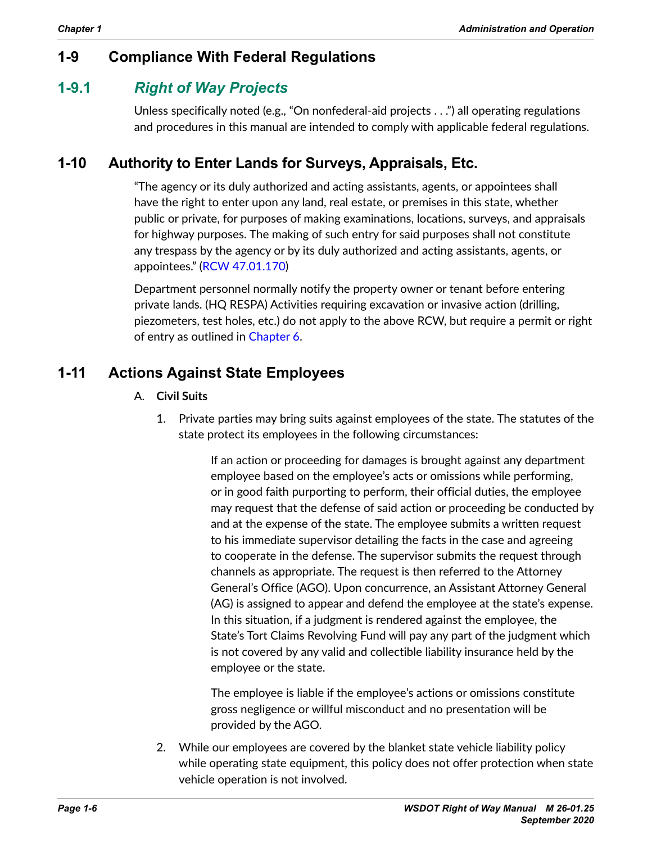# **1-9 Compliance With Federal Regulations**

## **1-9.1** *Right of Way Projects*

Unless specifically noted (e.g., "On nonfederal-aid projects . . .") all operating regulations and procedures in this manual are intended to comply with applicable federal regulations.

# **1-10 Authority to Enter Lands for Surveys, Appraisals, Etc.**

"The agency or its duly authorized and acting assistants, agents, or appointees shall have the right to enter upon any land, real estate, or premises in this state, whether public or private, for purposes of making examinations, locations, surveys, and appraisals for highway purposes. The making of such entry for said purposes shall not constitute any trespass by the agency or by its duly authorized and acting assistants, agents, or appointees." (RCW [47.01.170](http://apps.leg.wa.gov/RCW/default.aspx?cite=47.01.170))

Department personnel normally notify the property owner or tenant before entering private lands. (HQ RESPA) Activities requiring excavation or invasive action (drilling, piezometers, test holes, etc.) do not apply to the above RCW, but require a permit or right of entry as outlined in Chapter 6.

# **1-11 Actions Against State Employees**

- A. **Civil Suits**
	- 1. Private parties may bring suits against employees of the state. The statutes of the state protect its employees in the following circumstances:

If an action or proceeding for damages is brought against any department employee based on the employee's acts or omissions while performing, or in good faith purporting to perform, their official duties, the employee may request that the defense of said action or proceeding be conducted by and at the expense of the state. The employee submits a written request to his immediate supervisor detailing the facts in the case and agreeing to cooperate in the defense. The supervisor submits the request through channels as appropriate. The request is then referred to the Attorney General's Office (AGO). Upon concurrence, an Assistant Attorney General (AG) is assigned to appear and defend the employee at the state's expense. In this situation, if a judgment is rendered against the employee, the State's Tort Claims Revolving Fund will pay any part of the judgment which is not covered by any valid and collectible liability insurance held by the employee or the state.

The employee is liable if the employee's actions or omissions constitute gross negligence or willful misconduct and no presentation will be provided by the AGO.

2. While our employees are covered by the blanket state vehicle liability policy while operating state equipment, this policy does not offer protection when state vehicle operation is not involved.